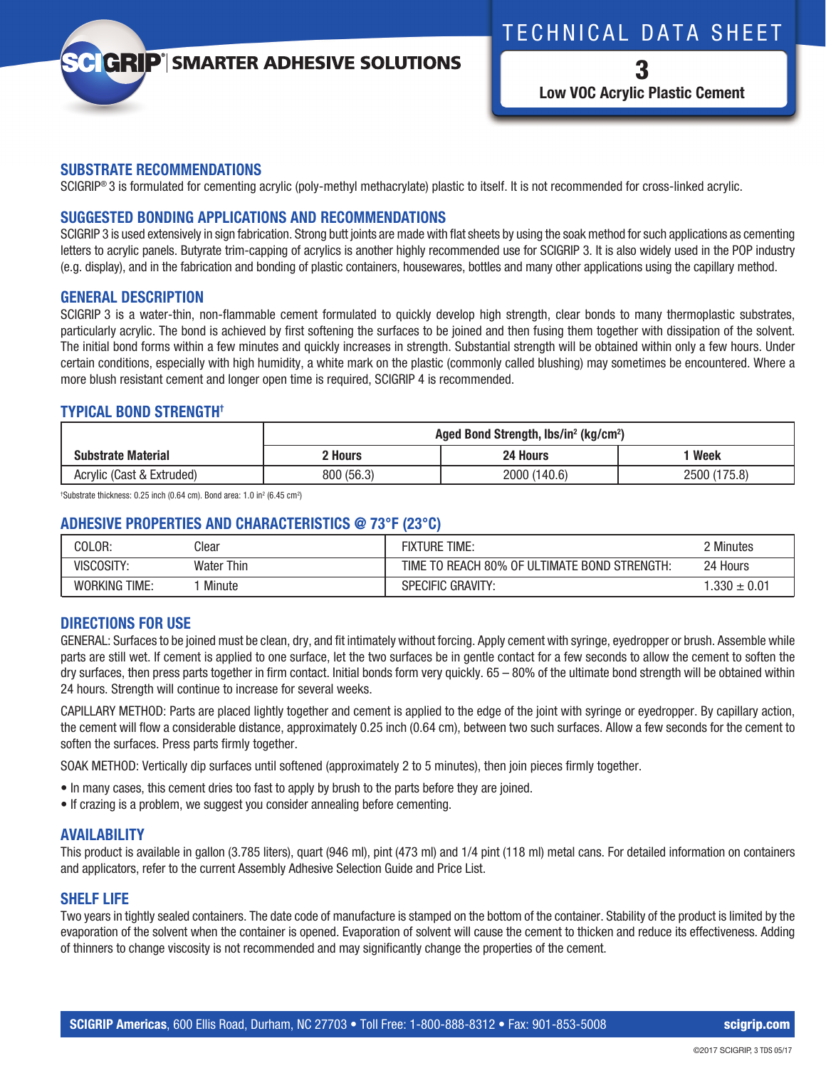# TECHNICAL DATA SHEET

# **GRIP**<sup>®</sup> SMARTER ADHESIVE SOLUTIONS

3 **Low VOC Acrylic Plastic Cement**

#### **SUBSTRATE RECOMMENDATIONS**

SCIGRIP® 3 is formulated for cementing acrylic (poly-methyl methacrylate) plastic to itself. It is not recommended for cross-linked acrylic.

# **SUGGESTED BONDING APPLICATIONS AND RECOMMENDATIONS**

SCIGRIP 3 is used extensively in sign fabrication. Strong butt joints are made with flat sheets by using the soak method for such applications as cementing letters to acrylic panels. Butyrate trim-capping of acrylics is another highly recommended use for SCIGRIP 3. It is also widely used in the POP industry (e.g. display), and in the fabrication and bonding of plastic containers, housewares, bottles and many other applications using the capillary method.

#### **GENERAL DESCRIPTION**

SCIGRIP 3 is a water-thin, non-flammable cement formulated to quickly develop high strength, clear bonds to many thermoplastic substrates, particularly acrylic. The bond is achieved by first softening the surfaces to be joined and then fusing them together with dissipation of the solvent. The initial bond forms within a few minutes and quickly increases in strength. Substantial strength will be obtained within only a few hours. Under certain conditions, especially with high humidity, a white mark on the plastic (commonly called blushing) may sometimes be encountered. Where a more blush resistant cement and longer open time is required, SCIGRIP 4 is recommended.

## **TYPICAL BOND STRENGTH†**

|                           | Aged Bond Strength, lbs/in <sup>2</sup> (kg/cm <sup>2</sup> ) |              |              |  |
|---------------------------|---------------------------------------------------------------|--------------|--------------|--|
| <b>Substrate Material</b> | <b>2 Hours</b>                                                | 24 Hours     | Week         |  |
| Acrylic (Cast & Extruded) | 800 (56.3)                                                    | 2000 (140.6) | 2500 (175.8) |  |

<sup>†</sup>Substrate thickness: 0.25 inch (0.64 cm). Bond area: 1.0 in $^2$  (6.45 cm $^2$ )

# **ADHESIVE PROPERTIES AND CHARACTERISTICS @ 73°F (23°C)**

| COLOR:               | Clear      | fixture time:                                | ' Minutes        |
|----------------------|------------|----------------------------------------------|------------------|
| VISCOSITY:           | Water Thin | TIME TO REACH 80% OF ULTIMATE BOND STRENGTH: | 24 Hours         |
| <b>WORKING TIME:</b> | Minute     | <b>SPECIFIC GRAVITY:</b>                     | $0.330 \pm 0.01$ |

# **DIRECTIONS FOR USE**

GENERAL: Surfaces to be joined must be clean, dry, and fit intimately without forcing. Apply cement with syringe, eyedropper or brush. Assemble while parts are still wet. If cement is applied to one surface, let the two surfaces be in gentle contact for a few seconds to allow the cement to soften the dry surfaces, then press parts together in firm contact. Initial bonds form very quickly. 65 – 80% of the ultimate bond strength will be obtained within 24 hours. Strength will continue to increase for several weeks.

CAPILLARY METHOD: Parts are placed lightly together and cement is applied to the edge of the joint with syringe or eyedropper. By capillary action, the cement will flow a considerable distance, approximately 0.25 inch (0.64 cm), between two such surfaces. Allow a few seconds for the cement to soften the surfaces. Press parts firmly together.

SOAK METHOD: Vertically dip surfaces until softened (approximately 2 to 5 minutes), then join pieces firmly together.

- In many cases, this cement dries too fast to apply by brush to the parts before they are joined.
- If crazing is a problem, we suggest you consider annealing before cementing.

## **AVAILABILITY**

This product is available in gallon (3.785 liters), quart (946 ml), pint (473 ml) and 1/4 pint (118 ml) metal cans. For detailed information on containers and applicators, refer to the current Assembly Adhesive Selection Guide and Price List.

#### **SHELF LIFE**

Two years in tightly sealed containers. The date code of manufacture is stamped on the bottom of the container. Stability of the product is limited by the evaporation of the solvent when the container is opened. Evaporation of solvent will cause the cement to thicken and reduce its effectiveness. Adding of thinners to change viscosity is not recommended and may significantly change the properties of the cement.